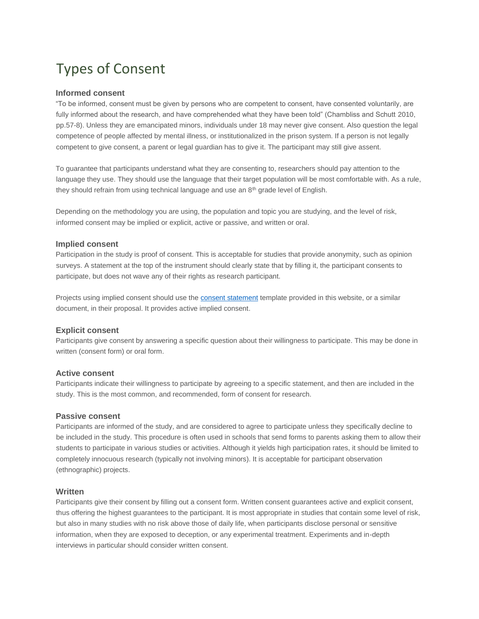# Types of Consent

## **Informed consent**

"To be informed, consent must be given by persons who are competent to consent, have consented voluntarily, are fully informed about the research, and have comprehended what they have been told" (Chambliss and Schutt 2010, pp.57-8). Unless they are emancipated minors, individuals under 18 may never give consent. Also question the legal competence of people affected by mental illness, or institutionalized in the prison system. If a person is not legally competent to give consent, a parent or legal guardian has to give it. The participant may still give assent.

To guarantee that participants understand what they are consenting to, researchers should pay attention to the language they use. They should use the language that their target population will be most comfortable with. As a rule, they should refrain from using technical language and use an 8<sup>th</sup> grade level of English.

Depending on the methodology you are using, the population and topic you are studying, and the level of risk, informed consent may be implied or explicit, active or passive, and written or oral.

# **Implied consent**

Participation in the study is proof of consent. This is acceptable for studies that provide anonymity, such as opinion surveys. A statement at the top of the instrument should clearly state that by filling it, the participant consents to participate, but does not wave any of their rights as research participant.

Projects using implied consent should use the [consent statement](http://www.saintleo.edu/media/172516/implied_consent_form_template.docx) [t](http://www.saintleo.edu/media/172516/implied_consent_form_template.docx)emplate provided in this website, or a similar document, in their proposal. It provides active implied consent.

### **Explicit consent**

Participants give consent by answering a specific question about their willingness to participate. This may be done in written (consent form) or oral form.

### **Active consent**

Participants indicate their willingness to participate by agreeing to a specific statement, and then are included in the study. This is the most common, and recommended, form of consent for research.

### **Passive consent**

Participants are informed of the study, and are considered to agree to participate unless they specifically decline to be included in the study. This procedure is often used in schools that send forms to parents asking them to allow their students to participate in various studies or activities. Although it yields high participation rates, it should be limited to completely innocuous research (typically not involving minors). It is acceptable for participant observation (ethnographic) projects.

## **Written**

Participants give their consent by filling out a consent form. Written consent guarantees active and explicit consent, thus offering the highest guarantees to the participant. It is most appropriate in studies that contain some level of risk, but also in many studies with no risk above those of daily life, when participants disclose personal or sensitive information, when they are exposed to deception, or any experimental treatment. Experiments and in-depth interviews in particular should consider written consent.